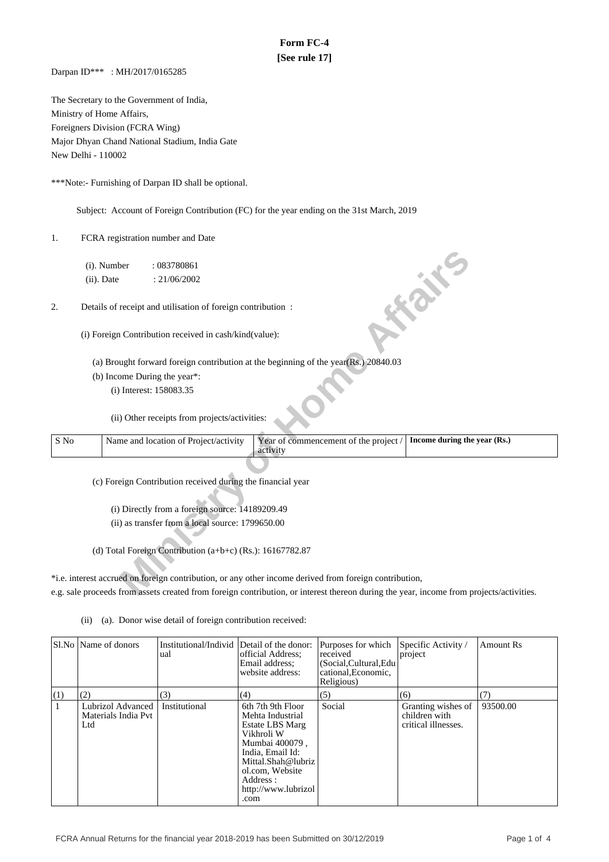# **Form FC-4 [See rule 17]**

Darpan ID\*\*\* : MH/2017/0165285

The Secretary to the Government of India, Ministry of Home Affairs, Foreigners Division (FCRA Wing) Major Dhyan Chand National Stadium, India Gate New Delhi - 110002

\*\*\*Note:- Furnishing of Darpan ID shall be optional.

Subject: Account of Foreign Contribution (FC) for the year ending on the 31st March, 2019

1. FCRA registration number and Date

|      | (i). Number   | : 083780861                                                 |                                                                                                                                         |                              |
|------|---------------|-------------------------------------------------------------|-----------------------------------------------------------------------------------------------------------------------------------------|------------------------------|
|      | $(ii)$ . Date | : 21/06/2002                                                |                                                                                                                                         |                              |
| 2.   |               | Details of receipt and utilisation of foreign contribution: |                                                                                                                                         | <b>FORE</b>                  |
|      |               | (i) Foreign Contribution received in cash/kind(value):      |                                                                                                                                         |                              |
|      |               |                                                             | (a) Brought forward foreign contribution at the beginning of the year(Rs.) 20840.03                                                     |                              |
|      |               | (b) Income During the year*:                                |                                                                                                                                         |                              |
|      |               | (i) Interest: 158083.35                                     |                                                                                                                                         |                              |
|      |               | (ii) Other receipts from projects/activities:               |                                                                                                                                         |                              |
| S No |               | Name and location of Project/activity                       | Year of commencement of the project /<br>activity                                                                                       | Income during the year (Rs.) |
|      |               |                                                             |                                                                                                                                         |                              |
|      |               | (c) Foreign Contribution received during the financial year |                                                                                                                                         |                              |
|      |               |                                                             |                                                                                                                                         |                              |
|      |               | (i) Directly from a foreign source: 14189209.49             |                                                                                                                                         |                              |
|      |               | (ii) as transfer from a local source: 1799650.00            |                                                                                                                                         |                              |
|      |               |                                                             |                                                                                                                                         |                              |
|      |               | (d) Total Foreign Contribution $(a+b+c)$ (Rs.): 16167782.87 |                                                                                                                                         |                              |
|      |               |                                                             | *i.e. interest accrued on foreign contribution, or any other income derived from foreign contribution,                                  |                              |
|      |               |                                                             | e.g. sale proceeds from assets created from foreign contribution, or interest thereon during the year, income from projects/activities. |                              |

(ii) (a). Donor wise detail of foreign contribution received:

|     | SLNo   Name of donors                           | Institutional/Individ Detail of the donor:<br>ual | official Address:<br>Email address:<br>website address:                                                                                                                                           | Purposes for which<br>received<br>(Social, Cultural, Edu<br>cational.Economic.<br>Religious) | Specific Activity /<br>project                             | <b>Amount Rs</b> |
|-----|-------------------------------------------------|---------------------------------------------------|---------------------------------------------------------------------------------------------------------------------------------------------------------------------------------------------------|----------------------------------------------------------------------------------------------|------------------------------------------------------------|------------------|
| (1) | (2)                                             | (3)                                               | (4)                                                                                                                                                                                               | (5)                                                                                          | (6)                                                        | (7)              |
|     | Lubrizol Advanced<br>Materials India Pvt<br>Ltd | Institutional                                     | 6th 7th 9th Floor<br>Mehta Industrial<br>Estate LBS Marg<br>Vikhroli W<br>Mumbai 400079,<br>India, Email Id:<br>Mittal.Shah@lubriz<br>ol.com, Website<br>Address :<br>http://www.lubrizol<br>.com | Social                                                                                       | Granting wishes of<br>children with<br>critical illnesses. | 93500.00         |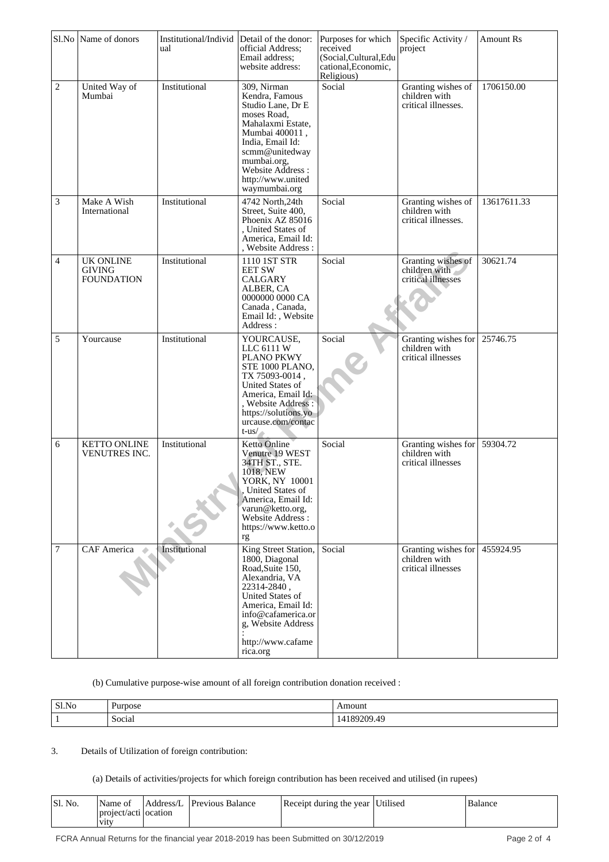|                             | Sl.No Name of donors                                   | Institutional/Individ<br>ual | Detail of the donor:<br>official Address;<br>Email address;<br>website address:                                                                                                                                            | Purposes for which<br>received<br>(Social, Cultural, Edu<br>cational, Economic,<br>Religious) | Specific Activity /<br>project                                       | Amount Rs   |
|-----------------------------|--------------------------------------------------------|------------------------------|----------------------------------------------------------------------------------------------------------------------------------------------------------------------------------------------------------------------------|-----------------------------------------------------------------------------------------------|----------------------------------------------------------------------|-------------|
| $\overline{c}$              | United Way of<br>Mumbai                                | Institutional                | 309, Nirman<br>Kendra, Famous<br>Studio Lane, Dr E<br>moses Road,<br>Mahalaxmi Estate,<br>Mumbai 400011,<br>India, Email Id:<br>scmm@unitedway<br>mumbai.org,<br>Website Address :<br>http://www.united<br>waymumbai.org   | Social                                                                                        | Granting wishes of<br>children with<br>critical illnesses.           | 1706150.00  |
| $\ensuremath{\mathfrak{Z}}$ | Make A Wish<br>International                           | Institutional                | 4742 North, 24th<br>Street, Suite 400,<br>Phoenix AZ 85016<br>, United States of<br>America, Email Id:<br>, Website Address:                                                                                               | Social                                                                                        | Granting wishes of<br>children with<br>critical illnesses.           | 13617611.33 |
| $\overline{4}$              | <b>UK ONLINE</b><br><b>GIVING</b><br><b>FOUNDATION</b> | Institutional                | 1110 1ST STR<br><b>EET SW</b><br><b>CALGARY</b><br>ALBER, CA<br>0000000 0000 CA<br>Canada, Canada,<br>Email Id:, Website<br>Address:                                                                                       | Social                                                                                        | Granting wishes of<br>children with<br>critical illnesses            | 30621.74    |
| 5                           | Yourcause                                              | Institutional                | YOURCAUSE,<br>LLC 6111 W<br>PLANO PKWY<br>STE 1000 PLANO,<br>TX 75093-0014,<br>United States of<br>America, Email Id:<br>, Website Address:<br>https://solutions.yo<br>urcause.com/contac<br>$t$ -us/                      | Social                                                                                        | Granting wishes for<br>children with<br>critical illnesses           | 25746.75    |
| 6                           | <b>KETTO ONLINE</b><br>VENUTRES INC.                   | Institutional                | <b>Ketto Online</b><br>Venutre 19 WEST<br>34TH ST., STE.<br>1018, NEW<br>YORK, NY 10001<br>United States of<br>America, Email Id:<br>varun@ketto.org,<br>Website Address:<br>https://www.ketto.o<br>$\mathbf{r}\mathbf{g}$ | Social                                                                                        | Granting wishes for<br>children with<br>critical illnesses           | 59304.72    |
| $\overline{7}$              | CAF America                                            | Institutional                | King Street Station,<br>1800, Diagonal<br>Road, Suite 150,<br>Alexandria, VA<br>22314-2840,<br>United States of<br>America, Email Id:<br>info@cafamerica.or<br>g, Website Address<br>http://www.cafame<br>rica.org         | Social                                                                                        | Granting wishes for 455924.95<br>children with<br>critical illnesses |             |

### (b) Cumulative purpose-wise amount of all foreign contribution donation received :

| Sl.No | Purpose               | Amount                               |
|-------|-----------------------|--------------------------------------|
|       | $\sim$<br>.<br>Social | ാറാ<br>.00<br>.9.40<br>:10<br>$\sim$ |

## 3. Details of Utilization of foreign contribution:

(a) Details of activities/projects for which foreign contribution has been received and utilised (in rupees)

| 'Sl. No. | Name of                                     | <b>Address/L</b> Previous Balance | Receipt during the year Utilised | Balance |
|----------|---------------------------------------------|-----------------------------------|----------------------------------|---------|
|          | project/acti   ocation<br>V <sub>1</sub> tv |                                   |                                  |         |
|          |                                             |                                   |                                  |         |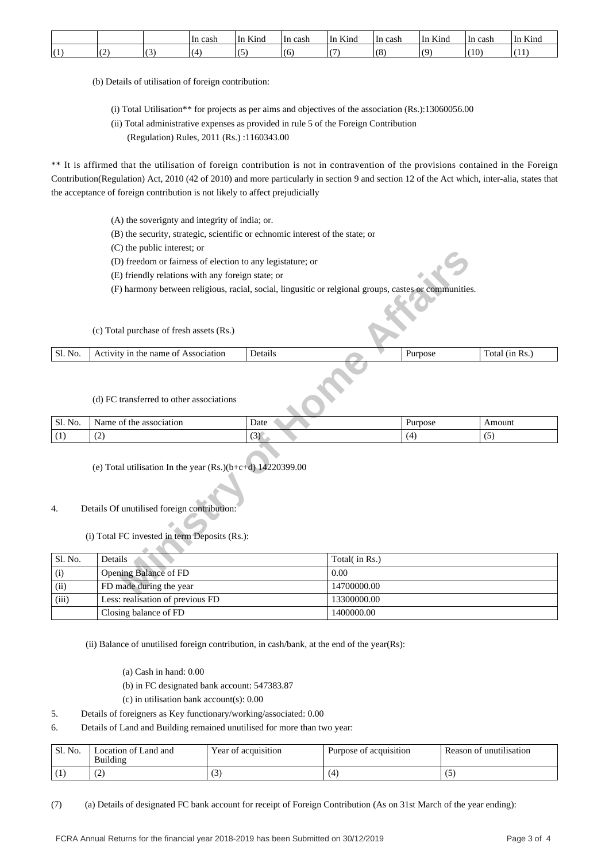|   |                          | In cash | T<br>Kina<br>' In | ∘cash<br>-In | $\mathbf{r}$<br>Kind<br>۱n | ≀ cash<br>١n     | T<br>Kind<br>∪⊔ | ' cash<br>-In | $T_{\mathcal{F}}$<br>Kind<br>\ln |
|---|--------------------------|---------|-------------------|--------------|----------------------------|------------------|-----------------|---------------|----------------------------------|
| ∼ | $\overline{\phantom{a}}$ |         |                   | O.           |                            | $\sqrt{C}$<br>ιc | $\Omega$        | (10)          | .                                |

(b) Details of utilisation of foreign contribution:

- (i) Total Utilisation\*\* for projects as per aims and objectives of the association (Rs.):13060056.00
- (ii) Total administrative expenses as provided in rule 5 of the Foreign Contribution
	- (Regulation) Rules, 2011 (Rs.) :1160343.00

\*\* It is affirmed that the utilisation of foreign contribution is not in contravention of the provisions contained in the Foreign Contribution(Regulation) Act, 2010 (42 of 2010) and more particularly in section 9 and section 12 of the Act which, inter-alia, states that the acceptance of foreign contribution is not likely to affect prejudicially

- (A) the soverignty and integrity of india; or.
- (B) the security, strategic, scientific or echnomic interest of the state; or
- (C) the public interest; or
- (D) freedom or fairness of election to any legistature; or
- (E) friendly relations with any foreign state; or
- (F) harmony between religious, racial, social, lingusitic or relgional groups, castes or communities.

| N <sub>0</sub><br>Ы | name<br>Association<br>Activity<br>ΟĪ<br>in the<br>___ | Details |  | Purpose | 1n<br>Ks.<br>ota. |
|---------------------|--------------------------------------------------------|---------|--|---------|-------------------|
|                     |                                                        |         |  |         |                   |

#### (d) FC transferred to other associations

| Sl. No. | Name<br>association<br>the<br>ot. | Date        | ırpose | Amount                                   |
|---------|-----------------------------------|-------------|--------|------------------------------------------|
| . .     | $\overline{\phantom{a}}$<br>╰     | $\sim$<br>ຼ | (△     | $\overline{\phantom{a}}$<br>. . <i>.</i> |

## (e) Total utilisation In the year (Rs.)(b+c+d) 14220399.00

## 4. Details Of unutilised foreign contribution:

|                  | $(v)$ and public interest, or                                                                                                                                |         |               |         |                |  |  |  |  |  |
|------------------|--------------------------------------------------------------------------------------------------------------------------------------------------------------|---------|---------------|---------|----------------|--|--|--|--|--|
|                  | (D) freedom or fairness of election to any legistature; or                                                                                                   |         |               |         |                |  |  |  |  |  |
|                  | (E) friendly relations with any foreign state; or                                                                                                            |         |               |         |                |  |  |  |  |  |
|                  | (F) harmony between religious, racial, social, lingusitic or relgional groups, castes or communities.                                                        |         |               |         |                |  |  |  |  |  |
|                  |                                                                                                                                                              |         |               |         |                |  |  |  |  |  |
|                  | (c) Total purchase of fresh assets (Rs.)                                                                                                                     |         |               |         |                |  |  |  |  |  |
| Sl. No.          | Activity in the name of Association                                                                                                                          | Details |               | Purpose | Total (in Rs.) |  |  |  |  |  |
|                  | (d) FC transferred to other associations                                                                                                                     |         |               |         |                |  |  |  |  |  |
| Sl. No.          | Name of the association                                                                                                                                      | Date    |               | Purpose | Amount         |  |  |  |  |  |
| (1)              | (2)                                                                                                                                                          | (3)     |               | (4)     | (5)            |  |  |  |  |  |
| $\overline{4}$ . | (e) Total utilisation In the year $(Rs.)(b+c+d)$ 14220399.00<br>Details Of unutilised foreign contribution:<br>(i) Total FC invested in term Deposits (Rs.): |         |               |         |                |  |  |  |  |  |
| Sl. No.          | Details                                                                                                                                                      |         | Total(in Rs.) |         |                |  |  |  |  |  |
| (i)              | Opening Balance of FD                                                                                                                                        |         | 0.00          |         |                |  |  |  |  |  |
| (ii)             | FD made during the year                                                                                                                                      |         | 14700000.00   |         |                |  |  |  |  |  |
| (iii)            | Less: realisation of previous FD                                                                                                                             |         | 13300000.00   |         |                |  |  |  |  |  |
|                  | Closing balance of FD                                                                                                                                        |         | 1400000.00    |         |                |  |  |  |  |  |

(ii) Balance of unutilised foreign contribution, in cash/bank, at the end of the year(Rs):

- (a) Cash in hand: 0.00
- (b) in FC designated bank account: 547383.87
- (c) in utilisation bank account(s): 0.00
- 5. Details of foreigners as Key functionary/working/associated: 0.00
- 6. Details of Land and Building remained unutilised for more than two year:

| ' Sl. No. | Location of Land and<br>Building | Year of acquisition | Purpose of acquisition | Reason of unutilisation |
|-----------|----------------------------------|---------------------|------------------------|-------------------------|
|           | ے ا                              | $\sqrt{2}$          | (4                     |                         |

(7) (a) Details of designated FC bank account for receipt of Foreign Contribution (As on 31st March of the year ending):